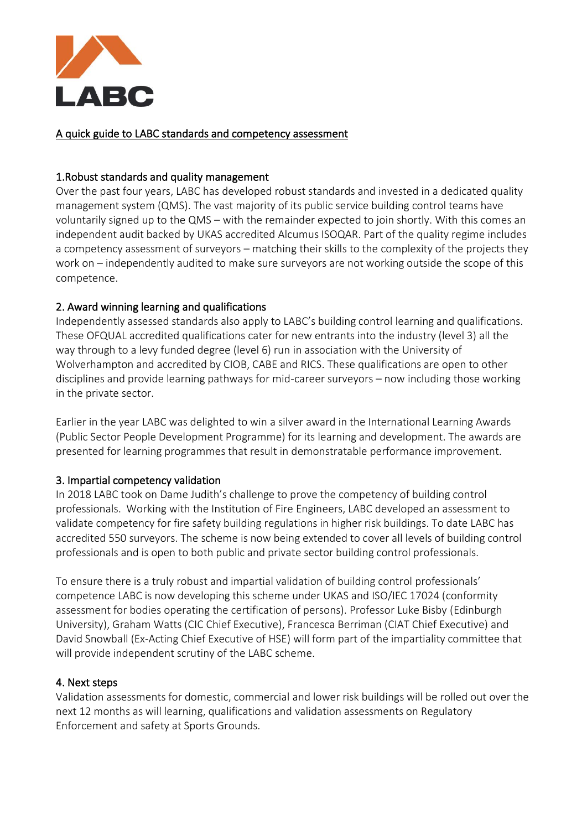

A quick guide to LABC standards and competency assessment

## 1.Robust standards and quality management

Over the past four years, LABC has developed robust standards and invested in a dedicated quality management system (QMS). The vast majority of its public service building control teams have voluntarily signed up to the QMS – with the remainder expected to join shortly. With this comes an independent audit backed by UKAS accredited Alcumus ISOQAR. Part of the quality regime includes a competency assessment of surveyors – matching their skills to the complexity of the projects they work on – independently audited to make sure surveyors are not working outside the scope of this competence.

# 2. Award winning learning and qualifications

Independently assessed standards also apply to LABC's building control learning and qualifications. These OFQUAL accredited qualifications cater for new entrants into the industry (level 3) all the way through to a levy funded degree (level 6) run in association with the University of Wolverhampton and accredited by CIOB, CABE and RICS. These qualifications are open to other disciplines and provide learning pathways for mid-career surveyors – now including those working in the private sector.

Earlier in the year LABC was delighted to win a silver award in the International Learning Awards (Public Sector People Development Programme) for its learning and development. The awards are presented for learning programmes that result in demonstratable performance improvement.

### 3. Impartial competency validation

In 2018 LABC took on Dame Judith's challenge to prove the competency of building control professionals. Working with the Institution of Fire Engineers, LABC developed an assessment to validate competency for fire safety building regulations in higher risk buildings. To date LABC has accredited 550 surveyors. The scheme is now being extended to cover all levels of building control professionals and is open to both public and private sector building control professionals.

To ensure there is a truly robust and impartial validation of building control professionals' competence LABC is now developing this scheme under UKAS and ISO/IEC 17024 (conformity assessment for bodies operating the certification of persons). Professor Luke Bisby (Edinburgh University), Graham Watts (CIC Chief Executive), Francesca Berriman (CIAT Chief Executive) and David Snowball (Ex-Acting Chief Executive of HSE) will form part of the impartiality committee that will provide independent scrutiny of the LABC scheme.

### 4. Next steps

Validation assessments for domestic, commercial and lower risk buildings will be rolled out over the next 12 months as will learning, qualifications and validation assessments on Regulatory Enforcement and safety at Sports Grounds.